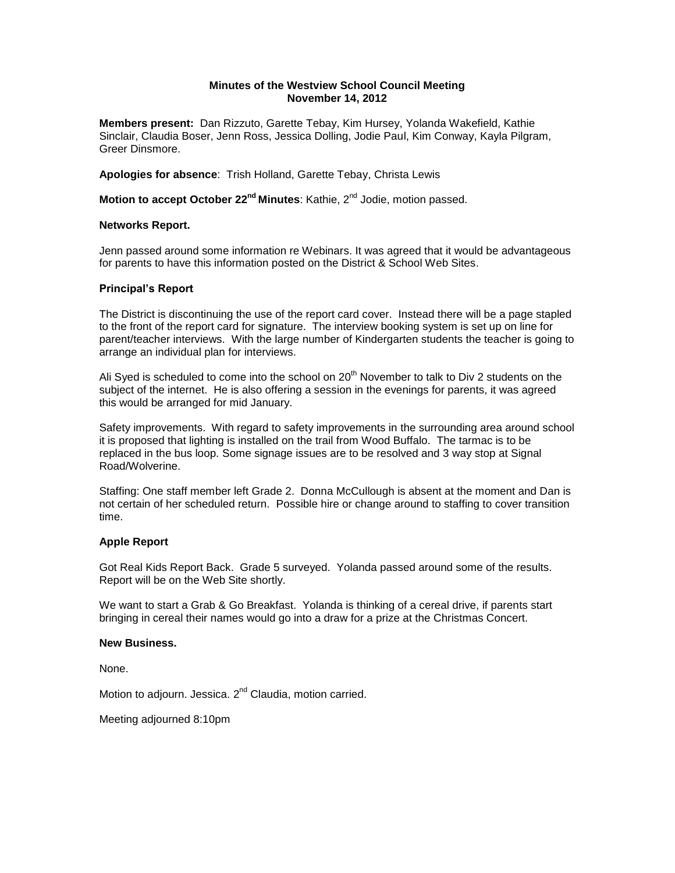# **Minutes of the Westview School Council Meeting November 14, 2012**

**Members present:** Dan Rizzuto, Garette Tebay, Kim Hursey, Yolanda Wakefield, Kathie Sinclair, Claudia Boser, Jenn Ross, Jessica Dolling, Jodie Paul, Kim Conway, Kayla Pilgram, Greer Dinsmore.

**Apologies for absence**: Trish Holland, Garette Tebay, Christa Lewis

**Motion to accept October 22<sup>nd</sup> Minutes**: Kathie, 2<sup>nd</sup> Jodie, motion passed.

### **Networks Report.**

Jenn passed around some information re Webinars. It was agreed that it would be advantageous for parents to have this information posted on the District & School Web Sites.

## **Principal's Report**

The District is discontinuing the use of the report card cover. Instead there will be a page stapled to the front of the report card for signature. The interview booking system is set up on line for parent/teacher interviews. With the large number of Kindergarten students the teacher is going to arrange an individual plan for interviews.

Ali Syed is scheduled to come into the school on  $20<sup>th</sup>$  November to talk to Div 2 students on the subject of the internet. He is also offering a session in the evenings for parents, it was agreed this would be arranged for mid January.

Safety improvements. With regard to safety improvements in the surrounding area around school it is proposed that lighting is installed on the trail from Wood Buffalo. The tarmac is to be replaced in the bus loop. Some signage issues are to be resolved and 3 way stop at Signal Road/Wolverine.

Staffing: One staff member left Grade 2. Donna McCullough is absent at the moment and Dan is not certain of her scheduled return. Possible hire or change around to staffing to cover transition time.

## **Apple Report**

Got Real Kids Report Back. Grade 5 surveyed. Yolanda passed around some of the results. Report will be on the Web Site shortly.

We want to start a Grab & Go Breakfast. Yolanda is thinking of a cereal drive, if parents start bringing in cereal their names would go into a draw for a prize at the Christmas Concert.

#### **New Business.**

None.

Motion to adjourn. Jessica. 2<sup>nd</sup> Claudia, motion carried.

Meeting adjourned 8:10pm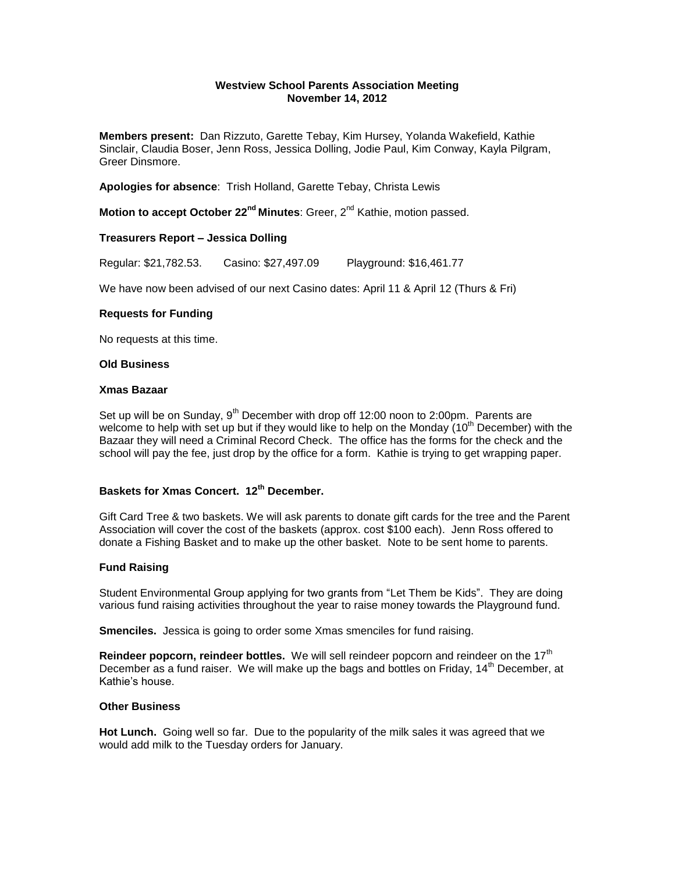# **Westview School Parents Association Meeting November 14, 2012**

**Members present:** Dan Rizzuto, Garette Tebay, Kim Hursey, Yolanda Wakefield, Kathie Sinclair, Claudia Boser, Jenn Ross, Jessica Dolling, Jodie Paul, Kim Conway, Kayla Pilgram, Greer Dinsmore.

**Apologies for absence**: Trish Holland, Garette Tebay, Christa Lewis

**Motion to accept October 22<sup>nd</sup> Minutes**: Greer, 2<sup>nd</sup> Kathie, motion passed.

## **Treasurers Report – Jessica Dolling**

Regular: \$21,782.53. Casino: \$27,497.09 Playground: \$16,461.77

We have now been advised of our next Casino dates: April 11 & April 12 (Thurs & Fri)

### **Requests for Funding**

No requests at this time.

## **Old Business**

#### **Xmas Bazaar**

Set up will be on Sunday,  $9<sup>th</sup>$  December with drop off 12:00 noon to 2:00pm. Parents are welcome to help with set up but if they would like to help on the Monday (10<sup>th</sup> December) with the Bazaar they will need a Criminal Record Check. The office has the forms for the check and the school will pay the fee, just drop by the office for a form. Kathie is trying to get wrapping paper.

# **Baskets for Xmas Concert. 12th December.**

Gift Card Tree & two baskets. We will ask parents to donate gift cards for the tree and the Parent Association will cover the cost of the baskets (approx. cost \$100 each). Jenn Ross offered to donate a Fishing Basket and to make up the other basket. Note to be sent home to parents.

## **Fund Raising**

Student Environmental Group applying for two grants from "Let Them be Kids". They are doing various fund raising activities throughout the year to raise money towards the Playground fund.

**Smenciles.** Jessica is going to order some Xmas smenciles for fund raising.

**Reindeer popcorn, reindeer bottles.** We will sell reindeer popcorn and reindeer on the 17<sup>th</sup> December as a fund raiser. We will make up the bags and bottles on Friday, 14<sup>th</sup> December, at Kathie's house.

#### **Other Business**

**Hot Lunch.** Going well so far. Due to the popularity of the milk sales it was agreed that we would add milk to the Tuesday orders for January.